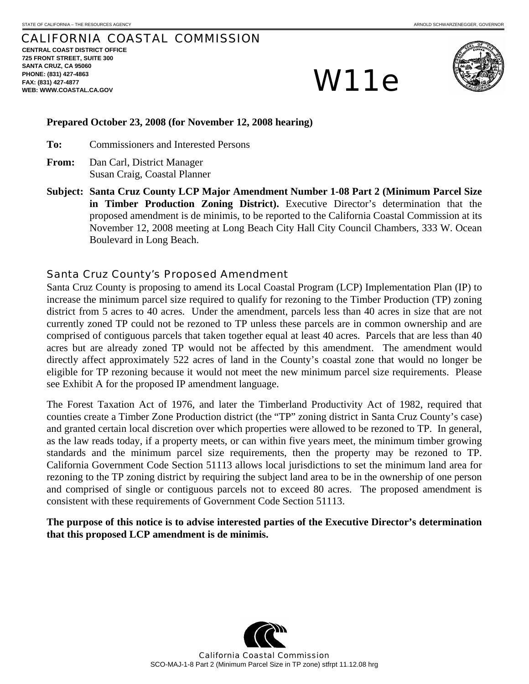# CALIFORNIA COASTAL COMMISSION

**CENTRAL COAST DISTRICT OFFICE 725 FRONT STREET, SUITE 300 SANTA CRUZ, CA 95060 PHONE: (831) 427-4863 FAX: (831) 427-4877**  PHONE: (831) 427-4863<br>FAX: (831) 427-4877<br>WEB: WWW.COASTAL.CA.GOV



### **Prepared October 23, 2008 (for November 12, 2008 hearing)**

**To:** Commissioners and Interested Persons

- **From:** Dan Carl, District Manager Susan Craig, Coastal Planner
- **Subject: Santa Cruz County LCP Major Amendment Number 1-08 Part 2 (Minimum Parcel Size in Timber Production Zoning District).** Executive Director's determination that the proposed amendment is de minimis, to be reported to the California Coastal Commission at its November 12, 2008 meeting at Long Beach City Hall City Council Chambers, 333 W. Ocean Boulevard in Long Beach.

# Santa Cruz County's Proposed Amendment

Santa Cruz County is proposing to amend its Local Coastal Program (LCP) Implementation Plan (IP) to increase the minimum parcel size required to qualify for rezoning to the Timber Production (TP) zoning district from 5 acres to 40 acres. Under the amendment, parcels less than 40 acres in size that are not currently zoned TP could not be rezoned to TP unless these parcels are in common ownership and are comprised of contiguous parcels that taken together equal at least 40 acres. Parcels that are less than 40 acres but are already zoned TP would not be affected by this amendment. The amendment would directly affect approximately 522 acres of land in the County's coastal zone that would no longer be eligible for TP rezoning because it would not meet the new minimum parcel size requirements. Please see Exhibit A for the proposed IP amendment language.

The Forest Taxation Act of 1976, and later the Timberland Productivity Act of 1982, required that counties create a Timber Zone Production district (the "TP" zoning district in Santa Cruz County's case) and granted certain local discretion over which properties were allowed to be rezoned to TP. In general, as the law reads today, if a property meets, or can within five years meet, the minimum timber growing standards and the minimum parcel size requirements, then the property may be rezoned to TP. California Government Code Section 51113 allows local jurisdictions to set the minimum land area for rezoning to the TP zoning district by requiring the subject land area to be in the ownership of one person and comprised of single or contiguous parcels not to exceed 80 acres. The proposed amendment is consistent with these requirements of Government Code Section 51113.

**The purpose of this notice is to advise interested parties of the Executive Director's determination that this proposed LCP amendment is de minimis.** 

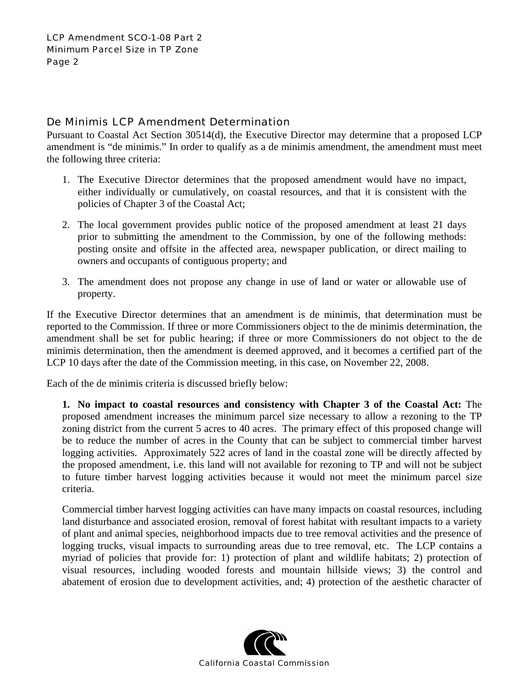# De Minimis LCP Amendment Determination

Pursuant to Coastal Act Section 30514(d), the Executive Director may determine that a proposed LCP amendment is "de minimis." In order to qualify as a de minimis amendment, the amendment must meet the following three criteria:

- 1. The Executive Director determines that the proposed amendment would have no impact, either individually or cumulatively, on coastal resources, and that it is consistent with the policies of Chapter 3 of the Coastal Act;
- 2. The local government provides public notice of the proposed amendment at least 21 days prior to submitting the amendment to the Commission, by one of the following methods: posting onsite and offsite in the affected area, newspaper publication, or direct mailing to owners and occupants of contiguous property; and
- 3. The amendment does not propose any change in use of land or water or allowable use of property.

If the Executive Director determines that an amendment is de minimis, that determination must be reported to the Commission. If three or more Commissioners object to the de minimis determination, the amendment shall be set for public hearing; if three or more Commissioners do not object to the de minimis determination, then the amendment is deemed approved, and it becomes a certified part of the LCP 10 days after the date of the Commission meeting, in this case, on November 22, 2008.

Each of the de minimis criteria is discussed briefly below:

**1. No impact to coastal resources and consistency with Chapter 3 of the Coastal Act:** The proposed amendment increases the minimum parcel size necessary to allow a rezoning to the TP zoning district from the current 5 acres to 40 acres. The primary effect of this proposed change will be to reduce the number of acres in the County that can be subject to commercial timber harvest logging activities. Approximately 522 acres of land in the coastal zone will be directly affected by the proposed amendment, i.e. this land will not available for rezoning to TP and will not be subject to future timber harvest logging activities because it would not meet the minimum parcel size criteria.

Commercial timber harvest logging activities can have many impacts on coastal resources, including land disturbance and associated erosion, removal of forest habitat with resultant impacts to a variety of plant and animal species, neighborhood impacts due to tree removal activities and the presence of logging trucks, visual impacts to surrounding areas due to tree removal, etc. The LCP contains a myriad of policies that provide for: 1) protection of plant and wildlife habitats; 2) protection of visual resources, including wooded forests and mountain hillside views; 3) the control and abatement of erosion due to development activities, and; 4) protection of the aesthetic character of

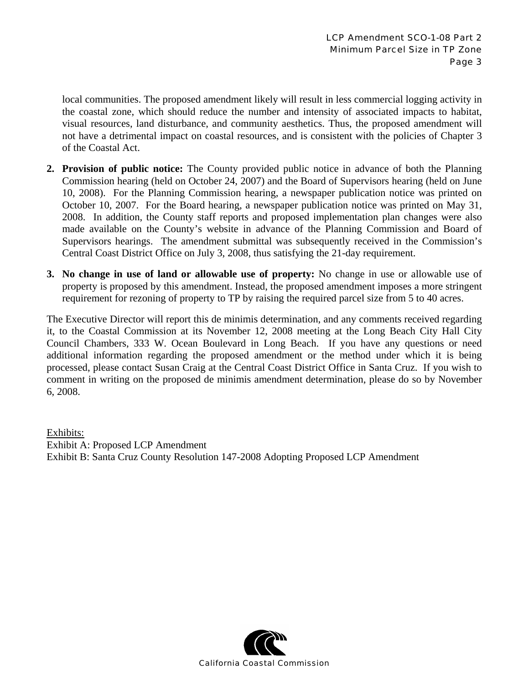local communities. The proposed amendment likely will result in less commercial logging activity in the coastal zone, which should reduce the number and intensity of associated impacts to habitat, visual resources, land disturbance, and community aesthetics. Thus, the proposed amendment will not have a detrimental impact on coastal resources, and is consistent with the policies of Chapter 3 of the Coastal Act.

- **2. Provision of public notice:** The County provided public notice in advance of both the Planning Commission hearing (held on October 24, 2007) and the Board of Supervisors hearing (held on June 10, 2008). For the Planning Commission hearing, a newspaper publication notice was printed on October 10, 2007. For the Board hearing, a newspaper publication notice was printed on May 31, 2008. In addition, the County staff reports and proposed implementation plan changes were also made available on the County's website in advance of the Planning Commission and Board of Supervisors hearings. The amendment submittal was subsequently received in the Commission's Central Coast District Office on July 3, 2008, thus satisfying the 21-day requirement.
- **3. No change in use of land or allowable use of property:** No change in use or allowable use of property is proposed by this amendment. Instead, the proposed amendment imposes a more stringent requirement for rezoning of property to TP by raising the required parcel size from 5 to 40 acres.

The Executive Director will report this de minimis determination, and any comments received regarding it, to the Coastal Commission at its November 12, 2008 meeting at the Long Beach City Hall City Council Chambers, 333 W. Ocean Boulevard in Long Beach. If you have any questions or need additional information regarding the proposed amendment or the method under which it is being processed, please contact Susan Craig at the Central Coast District Office in Santa Cruz. If you wish to comment in writing on the proposed de minimis amendment determination, please do so by November 6, 2008.

Exhibits: Exhibit A: Proposed LCP Amendment Exhibit B: Santa Cruz County Resolution 147-2008 Adopting Proposed LCP Amendment

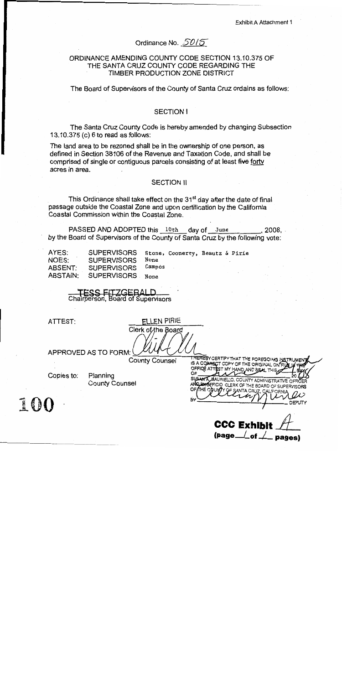# Ordinance No. 50/5

# ORDINANCE AMENDING COUNTY CODE SECTION 13.10.375 OF THE SANTA CRUZ COUNTY CODE REGARDING THE TIMBER PRODUCTION ZONE DISTRICT

The Board of Supervisors of the County of Santa Cruz ordains as follows:

### **SECTION I**

The Santa Cruz County Code is hereby amended by changing Subsection 13.10.375 (c) 6 to read as follows:

The land area to be rezoned shall be in the ownership of one person, as defined in Section 38106 of the Revenue and Taxation Code, and shall be comprised of single or contiguous parcels consisting of at least five forty acres in area.

### **SECTION II**

This Ordinance shall take effect on the 31<sup>st</sup> day after the date of final passage outside the Coastal Zone and upon certification by the California Coastal Commission within the Coastal Zone.

Campos

None

PASSED AND ADOPTED this 10th day of June . 2008. by the Board of Supervisors of the County of Santa Cruz by the following vote:

AYES: NOES: ABSENT: ABSTAIN:

**SUPERVISORS SUPERVISORS SUPERVISORS SUPERVISORS** 

Stone, Coonerty, Beautz & Pirie None

ESS FITZGERALD Chairperson, Board of Supervisors

ATTEST:

FLLEN PIRIE Clerk of the Board

APPROVED AS TO FORM:

**County Counsel** 

Copies to:

EQD

Planning **County Counsel** 

**THEREBY CER IFY THAT THE FOREGOING IN** OFFICE

**CCC Exhib**  $(page \_\ of \_\ noage$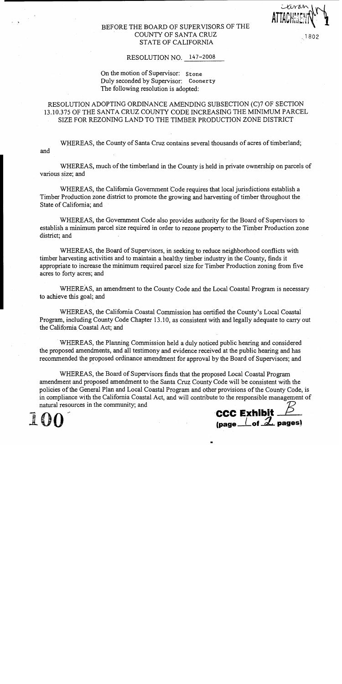### BEFORE THE BOARD OF SUPERVISORS OF THE COUNTY OF SANTA CRUZ STATE OF CALIFORNIA

### 1802

### RESOLUTION NO. 147-2008

### On the motion of Supervisor: Stone Duly seconded by Supervisor: Coonerty The following resolution is adopted:

# RESOLUTION ADOPTING ORDINANCE AMENDING SUBSECTION (C)7 OF SECTION 13.10.375 OF THE SANTA CRUZ COUNTY CODE INCREASING THE MINIMUM PARCEL SIZE FOR REZONING LAND TO THE TIMBER PRODUCTION ZONE DISTRICT

WHEREAS, the County of Santa Cruz contains several thousands of acres of timberland; and

WHEREAS, much of the timberland in the County is held in private ownership on parcels of various size; and

WHEREAS, the California Government Code requires that local jurisdictions establish a Timber Production zone district to promote the growing and harvesting of timber throughout the State of California: and

WHEREAS, the Government Code also provides authority for the Board of Supervisors to establish a minimum parcel size required in order to rezone property to the Timber Production zone district; and

WHEREAS, the Board of Supervisors, in seeking to reduce neighborhood conflicts with timber harvesting activities and to maintain a healthy timber industry in the County, finds it appropriate to increase the minimum required parcel size for Timber Production zoning from five acres to forty acres; and

WHEREAS, an amendment to the County Code and the Local Coastal Program is necessary to achieve this goal; and

WHEREAS, the California Coastal Commission has certified the County's Local Coastal Program, including County Code Chapter 13.10, as consistent with and legally adequate to carry out the California Coastal Act; and

WHEREAS, the Planning Commission held a duly noticed public hearing and considered the proposed amendments, and all testimony and evidence received at the public hearing and has recommended the proposed ordinance amendment for approval by the Board of Supervisors; and

WHEREAS, the Board of Supervisors finds that the proposed Local Coastal Program amendment and proposed amendment to the Santa Cruz County Code will be consistent with the policies of the General Plan and Local Coastal Program and other provisions of the County Code, is in compliance with the California Coastal Act, and will contribute to the responsible management of natural resources in the community; and

**# 6 )** 

**CCC Exhibit**  $\frac{\cancel{5}}{\cancel{\text{(page \_} \cdot \cancel{\text{of} \cdot \cancel{\mathcal{A}}}}$  pages)